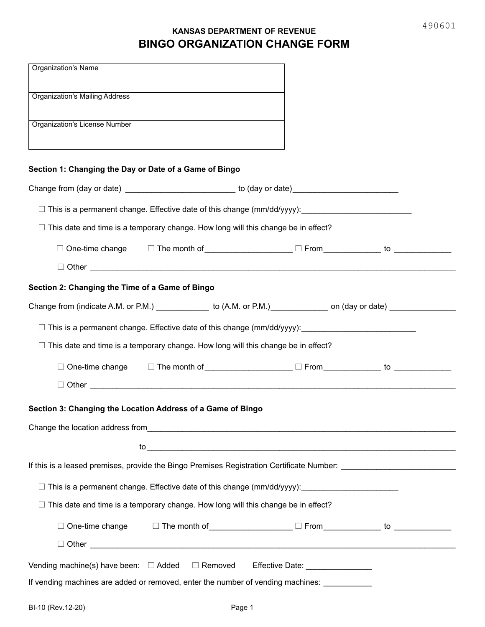## **KANSAS DEPARTMENT OF REVENUE BINGO ORGANIZATION CHANGE FORM**

| <b>Organization's Name</b>                                                                                      |
|-----------------------------------------------------------------------------------------------------------------|
| Organization's Mailing Address                                                                                  |
| Organization's License Number                                                                                   |
| Section 1: Changing the Day or Date of a Game of Bingo                                                          |
| Change from (day or date) ___________________________ to (day or date)_____________________________             |
|                                                                                                                 |
| $\Box$ This date and time is a temporary change. How long will this change be in effect?                        |
| $\Box$ One-time change $\Box$ The month of _________________ $\Box$ From _____________ to ______________        |
|                                                                                                                 |
| Section 2: Changing the Time of a Game of Bingo                                                                 |
| Change from (indicate A.M. or P.M.) ______________ to (A.M. or P.M.) ____________ on (day or date) ____________ |
|                                                                                                                 |
| $\Box$ This date and time is a temporary change. How long will this change be in effect?                        |
| $\Box$ One-time change $\Box$ The month of _________________ $\Box$ From ____________ to _____________          |
|                                                                                                                 |
| Section 3: Changing the Location Address of a Game of Bingo                                                     |
|                                                                                                                 |
|                                                                                                                 |
|                                                                                                                 |
| □ This is a permanent change. Effective date of this change (mm/dd/yyyy): _________________________             |
| $\Box$ This date and time is a temporary change. How long will this change be in effect?                        |
| $\Box$ One-time change $\hfill\Box$ The month of ________________ $\Box$ From ____________ to ______________    |
|                                                                                                                 |
| Vending machine(s) have been: □ Added □ Removed Effective Date: _______________                                 |
| If vending machines are added or removed, enter the number of vending machines:                                 |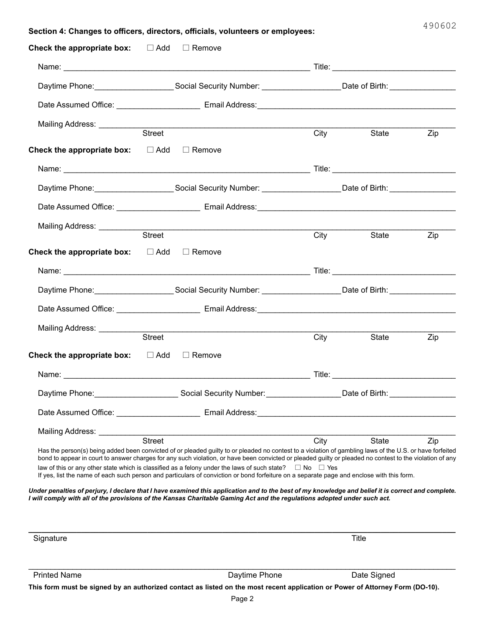|                                                            |                                                                                                                  | Section 4: Changes to officers, directors, officials, volunteers or employees:                                                                                                                                                                                                                                                                                                                                                                                                                                                                                                               |             |                                                                                                                      | 490602 |
|------------------------------------------------------------|------------------------------------------------------------------------------------------------------------------|----------------------------------------------------------------------------------------------------------------------------------------------------------------------------------------------------------------------------------------------------------------------------------------------------------------------------------------------------------------------------------------------------------------------------------------------------------------------------------------------------------------------------------------------------------------------------------------------|-------------|----------------------------------------------------------------------------------------------------------------------|--------|
| <b>Check the appropriate box:</b> $\Box$ Add $\Box$ Remove |                                                                                                                  |                                                                                                                                                                                                                                                                                                                                                                                                                                                                                                                                                                                              |             |                                                                                                                      |        |
|                                                            |                                                                                                                  |                                                                                                                                                                                                                                                                                                                                                                                                                                                                                                                                                                                              |             |                                                                                                                      |        |
|                                                            |                                                                                                                  | Daytime Phone: _____________________Social Security Number: __________________Date of Birth: ________________                                                                                                                                                                                                                                                                                                                                                                                                                                                                                |             |                                                                                                                      |        |
|                                                            |                                                                                                                  |                                                                                                                                                                                                                                                                                                                                                                                                                                                                                                                                                                                              |             |                                                                                                                      |        |
|                                                            |                                                                                                                  |                                                                                                                                                                                                                                                                                                                                                                                                                                                                                                                                                                                              |             |                                                                                                                      |        |
|                                                            | Street                                                                                                           |                                                                                                                                                                                                                                                                                                                                                                                                                                                                                                                                                                                              | City        | State                                                                                                                | Zip    |
| <b>Check the appropriate box:</b> $\Box$ Add $\Box$ Remove |                                                                                                                  |                                                                                                                                                                                                                                                                                                                                                                                                                                                                                                                                                                                              |             |                                                                                                                      |        |
|                                                            |                                                                                                                  |                                                                                                                                                                                                                                                                                                                                                                                                                                                                                                                                                                                              |             |                                                                                                                      |        |
|                                                            | Daytime Phone: Contact Contact Social Security Number: Contact Contact Date of Birth: Contact Contact Contact Co |                                                                                                                                                                                                                                                                                                                                                                                                                                                                                                                                                                                              |             |                                                                                                                      |        |
|                                                            |                                                                                                                  |                                                                                                                                                                                                                                                                                                                                                                                                                                                                                                                                                                                              |             |                                                                                                                      |        |
|                                                            |                                                                                                                  |                                                                                                                                                                                                                                                                                                                                                                                                                                                                                                                                                                                              |             |                                                                                                                      |        |
|                                                            | Street                                                                                                           |                                                                                                                                                                                                                                                                                                                                                                                                                                                                                                                                                                                              | City        | State                                                                                                                | Zip    |
| <b>Check the appropriate box:</b> $\Box$ Add $\Box$ Remove |                                                                                                                  |                                                                                                                                                                                                                                                                                                                                                                                                                                                                                                                                                                                              |             |                                                                                                                      |        |
|                                                            |                                                                                                                  |                                                                                                                                                                                                                                                                                                                                                                                                                                                                                                                                                                                              |             |                                                                                                                      |        |
|                                                            | Daytime Phone:___________________Social Security Number: ________________Date of Birth:_____________             |                                                                                                                                                                                                                                                                                                                                                                                                                                                                                                                                                                                              |             |                                                                                                                      |        |
|                                                            |                                                                                                                  |                                                                                                                                                                                                                                                                                                                                                                                                                                                                                                                                                                                              |             |                                                                                                                      |        |
| Mailing Address: ____________                              |                                                                                                                  |                                                                                                                                                                                                                                                                                                                                                                                                                                                                                                                                                                                              |             |                                                                                                                      |        |
|                                                            | Street                                                                                                           |                                                                                                                                                                                                                                                                                                                                                                                                                                                                                                                                                                                              | <b>City</b> | State                                                                                                                | Zip    |
| <b>Check the appropriate box:</b> $\Box$ Add $\Box$ Remove |                                                                                                                  |                                                                                                                                                                                                                                                                                                                                                                                                                                                                                                                                                                                              |             |                                                                                                                      |        |
| Name:                                                      |                                                                                                                  | <u> Title:</u>                                                                                                                                                                                                                                                                                                                                                                                                                                                                                                                                                                               |             |                                                                                                                      |        |
|                                                            |                                                                                                                  |                                                                                                                                                                                                                                                                                                                                                                                                                                                                                                                                                                                              |             | Daytime Phone: ____________________________Social Security Number: _________________Date of Birth: _________________ |        |
|                                                            |                                                                                                                  |                                                                                                                                                                                                                                                                                                                                                                                                                                                                                                                                                                                              |             |                                                                                                                      |        |
|                                                            |                                                                                                                  | Mailing Address: <u>Contract Street City</u>                                                                                                                                                                                                                                                                                                                                                                                                                                                                                                                                                 |             | State State                                                                                                          |        |
|                                                            |                                                                                                                  | Has the person(s) being added been convicted of or pleaded guilty to or pleaded no contest to a violation of gambling laws of the U.S. or have forfeited<br>bond to appear in court to answer charges for any such violation, or have been convicted or pleaded guilty or pleaded no contest to the violation of any<br>law of this or any other state which is classified as a felony under the laws of such state? $\square$ No $\square$ Yes<br>If yes, list the name of each such person and particulars of conviction or bond forfeiture on a separate page and enclose with this form. |             |                                                                                                                      | Zip    |
|                                                            |                                                                                                                  | Under penalties of perjury, I declare that I have examined this application and to the best of my knowledge and belief it is correct and complete.<br>I will comply with all of the provisions of the Kansas Charitable Gaming Act and the regulations adopted under such act.                                                                                                                                                                                                                                                                                                               |             |                                                                                                                      |        |

| Signature                                                                                                                     |               | Title       |  |  |  |  |
|-------------------------------------------------------------------------------------------------------------------------------|---------------|-------------|--|--|--|--|
|                                                                                                                               |               |             |  |  |  |  |
|                                                                                                                               |               |             |  |  |  |  |
|                                                                                                                               |               |             |  |  |  |  |
|                                                                                                                               |               |             |  |  |  |  |
| <b>Printed Name</b>                                                                                                           | Daytime Phone | Date Signed |  |  |  |  |
| This form must be signed by an authorized contact as listed on the most recent application or Power of Attorney Form (DO-10). |               |             |  |  |  |  |